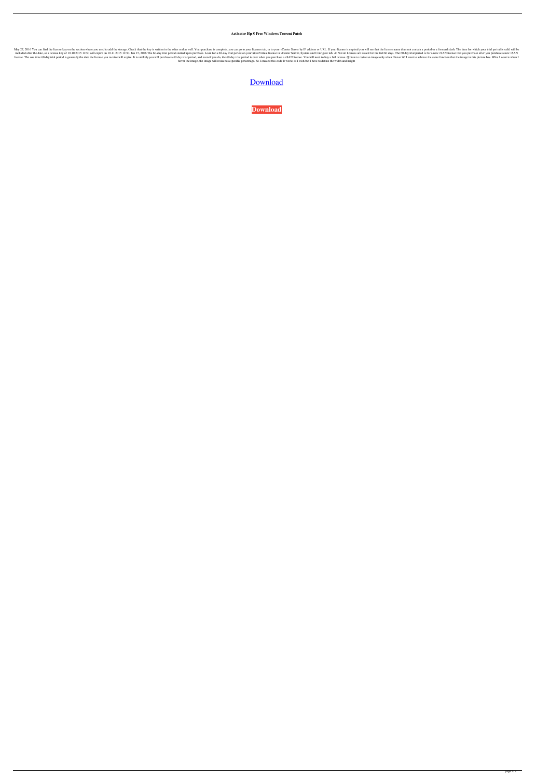## **Activator Hp S Free Windows Torrent Patch**

May 27, 2016 You can find the license key on the section where you used to add the storage. Check that the key is written in the other end as well. Your purchase is complete. you can go to your vCenter Server by IP address included after the date, so a license key of 10.10.2015 12:50 will expire on 10.11.2015 12:50. Jun 27, 2016 The 60-day trial period started upon purchase. Look for a 60-day trial period on your Store Virtual license in vCe Incense. The one time 60 day trial period is generally the date the license you receive will expire. It is unlikely you will purchase a 60 day trial period, and even if you do, the 60 day trial period is over when I hover hover the image, the image will resize to a specific percentage. So I created this code It works as I wish but I have to define the width and height

## [Download](http://evacdir.com/fassel.forceflex?margerines=spaces&ZG93bmxvYWR8U0IwYkdGbGZId3hOalV5TnpRd09EWTJmSHd5TlRjMGZId29UU2tnY21WaFpDMWliRzluSUZ0R1lYTjBJRWRGVGww=standing/centra/aHAgc3RvcmV2aXJ0dWFsIHN0b3JhZ2UgdnNhIGtleWdlbgaHA/himan)

**[Download](http://evacdir.com/fassel.forceflex?margerines=spaces&ZG93bmxvYWR8U0IwYkdGbGZId3hOalV5TnpRd09EWTJmSHd5TlRjMGZId29UU2tnY21WaFpDMWliRzluSUZ0R1lYTjBJRWRGVGww=standing/centra/aHAgc3RvcmV2aXJ0dWFsIHN0b3JhZ2UgdnNhIGtleWdlbgaHA/himan)**